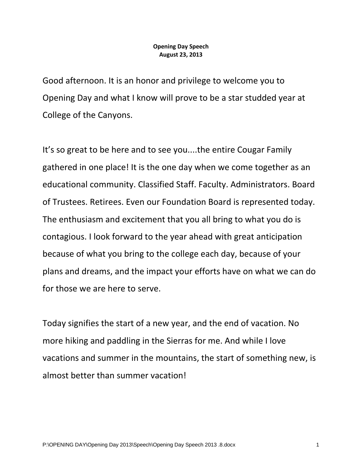#### **Opening Day Speech August 23, 2013**

Good afternoon. It is an honor and privilege to welcome you to Opening Day and what I know will prove to be a star studded year at College of the Canyons.

It's so great to be here and to see you....the entire Cougar Family gathered in one place! It is the one day when we come together as an educational community. Classified Staff. Faculty. Administrators. Board of Trustees. Retirees. Even our Foundation Board is represented today. The enthusiasm and excitement that you all bring to what you do is contagious. I look forward to the year ahead with great anticipation because of what you bring to the college each day, because of your plans and dreams, and the impact your efforts have on what we can do for those we are here to serve.

Today signifies the start of a new year, and the end of vacation. No more hiking and paddling in the Sierras for me. And while I love vacations and summer in the mountains, the start of something new, is almost better than summer vacation!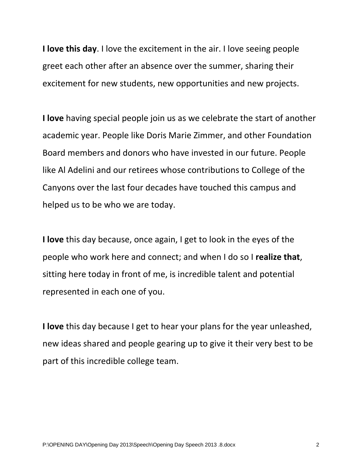**I love this day**. I love the excitement in the air. I love seeing people greet each other after an absence over the summer, sharing their excitement for new students, new opportunities and new projects.

**I love** having special people join us as we celebrate the start of another academic year. People like Doris Marie Zimmer, and other Foundation Board members and donors who have invested in our future. People like Al Adelini and our retirees whose contributions to College of the Canyons over the last four decades have touched this campus and helped us to be who we are today.

**I love** this day because, once again, I get to look in the eyes of the people who work here and connect; and when I do so I **realize that**, sitting here today in front of me, is incredible talent and potential represented in each one of you.

**I love** this day because I get to hear your plans for the year unleashed, new ideas shared and people gearing up to give it their very best to be part of this incredible college team.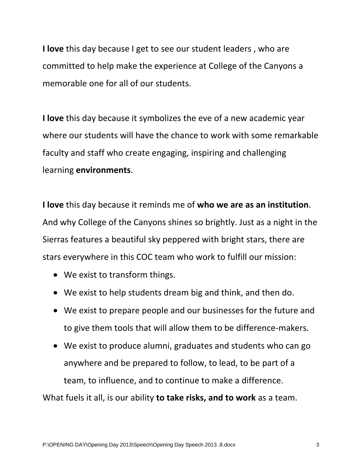**I love** this day because I get to see our student leaders , who are committed to help make the experience at College of the Canyons a memorable one for all of our students.

**I love** this day because it symbolizes the eve of a new academic year where our students will have the chance to work with some remarkable faculty and staff who create engaging, inspiring and challenging learning **environments**.

**I love** this day because it reminds me of **who we are as an institution**. And why College of the Canyons shines so brightly. Just as a night in the Sierras features a beautiful sky peppered with bright stars, there are stars everywhere in this COC team who work to fulfill our mission:

- We exist to transform things.
- We exist to help students dream big and think, and then do.
- We exist to prepare people and our businesses for the future and to give them tools that will allow them to be difference-makers.
- We exist to produce alumni, graduates and students who can go anywhere and be prepared to follow, to lead, to be part of a team, to influence, and to continue to make a difference.

What fuels it all, is our ability **to take risks, and to work** as a team.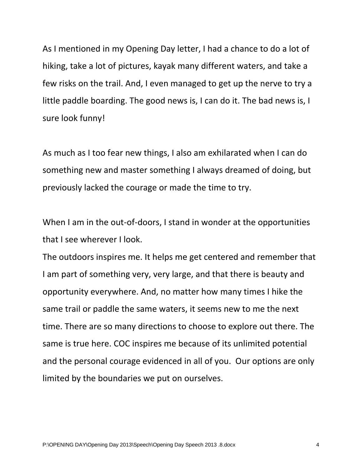As I mentioned in my Opening Day letter, I had a chance to do a lot of hiking, take a lot of pictures, kayak many different waters, and take a few risks on the trail. And, I even managed to get up the nerve to try a little paddle boarding. The good news is, I can do it. The bad news is, I sure look funny!

As much as I too fear new things, I also am exhilarated when I can do something new and master something I always dreamed of doing, but previously lacked the courage or made the time to try.

When I am in the out-of-doors, I stand in wonder at the opportunities that I see wherever I look.

The outdoors inspires me. It helps me get centered and remember that I am part of something very, very large, and that there is beauty and opportunity everywhere. And, no matter how many times I hike the same trail or paddle the same waters, it seems new to me the next time. There are so many directions to choose to explore out there. The same is true here. COC inspires me because of its unlimited potential and the personal courage evidenced in all of you. Our options are only limited by the boundaries we put on ourselves.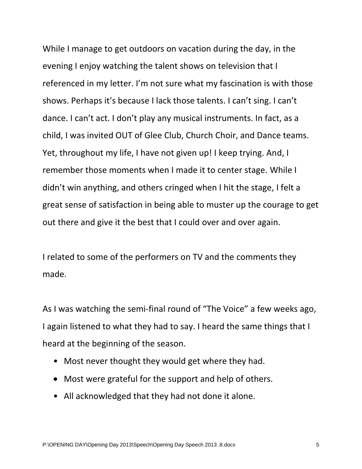While I manage to get outdoors on vacation during the day, in the evening I enjoy watching the talent shows on television that I referenced in my letter. I'm not sure what my fascination is with those shows. Perhaps it's because I lack those talents. I can't sing. I can't dance. I can't act. I don't play any musical instruments. In fact, as a child, I was invited OUT of Glee Club, Church Choir, and Dance teams. Yet, throughout my life, I have not given up! I keep trying. And, I remember those moments when I made it to center stage. While I didn't win anything, and others cringed when I hit the stage, I felt a great sense of satisfaction in being able to muster up the courage to get out there and give it the best that I could over and over again.

I related to some of the performers on TV and the comments they made.

As I was watching the semi-final round of "The Voice" a few weeks ago, I again listened to what they had to say. I heard the same things that I heard at the beginning of the season.

- Most never thought they would get where they had.
- Most were grateful for the support and help of others.
- All acknowledged that they had not done it alone.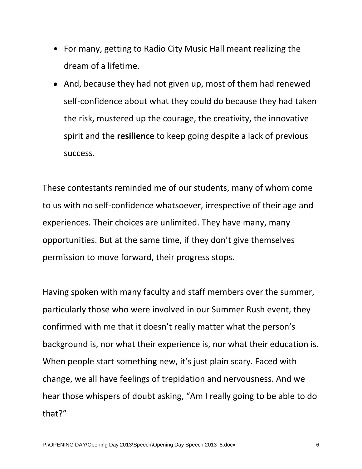- For many, getting to Radio City Music Hall meant realizing the dream of a lifetime.
- And, because they had not given up, most of them had renewed self-confidence about what they could do because they had taken the risk, mustered up the courage, the creativity, the innovative spirit and the **resilience** to keep going despite a lack of previous success.

These contestants reminded me of our students, many of whom come to us with no self-confidence whatsoever, irrespective of their age and experiences. Their choices are unlimited. They have many, many opportunities. But at the same time, if they don't give themselves permission to move forward, their progress stops.

Having spoken with many faculty and staff members over the summer, particularly those who were involved in our Summer Rush event, they confirmed with me that it doesn't really matter what the person's background is, nor what their experience is, nor what their education is. When people start something new, it's just plain scary. Faced with change, we all have feelings of trepidation and nervousness. And we hear those whispers of doubt asking, "Am I really going to be able to do that?"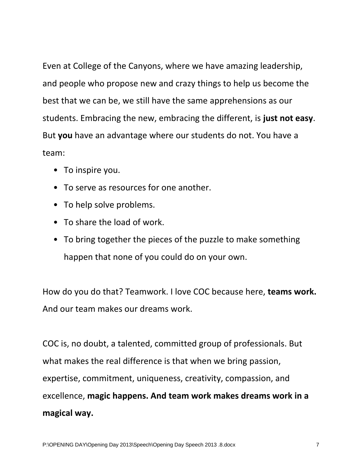Even at College of the Canyons, where we have amazing leadership, and people who propose new and crazy things to help us become the best that we can be, we still have the same apprehensions as our students. Embracing the new, embracing the different, is **just not easy**. But **you** have an advantage where our students do not. You have a team:

- To inspire you.
- To serve as resources for one another.
- To help solve problems.
- To share the load of work.
- To bring together the pieces of the puzzle to make something happen that none of you could do on your own.

How do you do that? Teamwork. I love COC because here, **teams work.**  And our team makes our dreams work.

COC is, no doubt, a talented, committed group of professionals. But what makes the real difference is that when we bring passion, expertise, commitment, uniqueness, creativity, compassion, and excellence, **magic happens. And team work makes dreams work in a magical way.**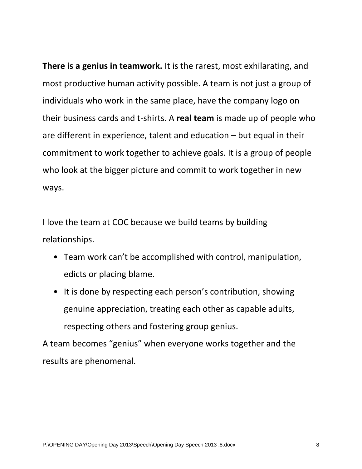**There is a genius in teamwork.** It is the rarest, most exhilarating, and most productive human activity possible. A team is not just a group of individuals who work in the same place, have the company logo on their business cards and t-shirts. A **real team** is made up of people who are different in experience, talent and education – but equal in their commitment to work together to achieve goals. It is a group of people who look at the bigger picture and commit to work together in new ways.

I love the team at COC because we build teams by building relationships.

- Team work can't be accomplished with control, manipulation, edicts or placing blame.
- It is done by respecting each person's contribution, showing genuine appreciation, treating each other as capable adults, respecting others and fostering group genius.

A team becomes "genius" when everyone works together and the results are phenomenal.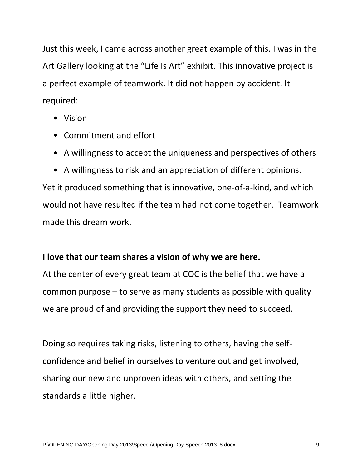Just this week, I came across another great example of this. I was in the Art Gallery looking at the "Life Is Art" exhibit. This innovative project is a perfect example of teamwork. It did not happen by accident. It required:

- Vision
- Commitment and effort
- A willingness to accept the uniqueness and perspectives of others
- A willingness to risk and an appreciation of different opinions.

Yet it produced something that is innovative, one-of-a-kind, and which would not have resulted if the team had not come together. Teamwork made this dream work.

### **I love that our team shares a vision of why we are here.**

At the center of every great team at COC is the belief that we have a common purpose – to serve as many students as possible with quality we are proud of and providing the support they need to succeed.

Doing so requires taking risks, listening to others, having the selfconfidence and belief in ourselves to venture out and get involved, sharing our new and unproven ideas with others, and setting the standards a little higher.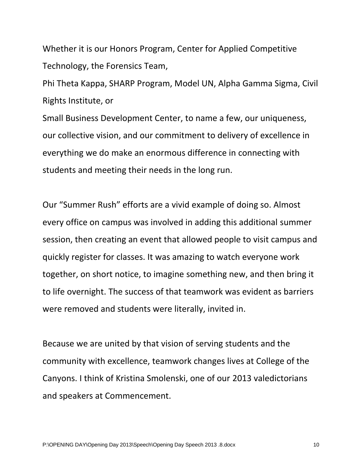Whether it is our Honors Program, Center for Applied Competitive Technology, the Forensics Team,

Phi Theta Kappa, SHARP Program, Model UN, Alpha Gamma Sigma, Civil Rights Institute, or

Small Business Development Center, to name a few, our uniqueness, our collective vision, and our commitment to delivery of excellence in everything we do make an enormous difference in connecting with students and meeting their needs in the long run.

Our "Summer Rush" efforts are a vivid example of doing so. Almost every office on campus was involved in adding this additional summer session, then creating an event that allowed people to visit campus and quickly register for classes. It was amazing to watch everyone work together, on short notice, to imagine something new, and then bring it to life overnight. The success of that teamwork was evident as barriers were removed and students were literally, invited in.

Because we are united by that vision of serving students and the community with excellence, teamwork changes lives at College of the Canyons. I think of Kristina Smolenski, one of our 2013 valedictorians and speakers at Commencement.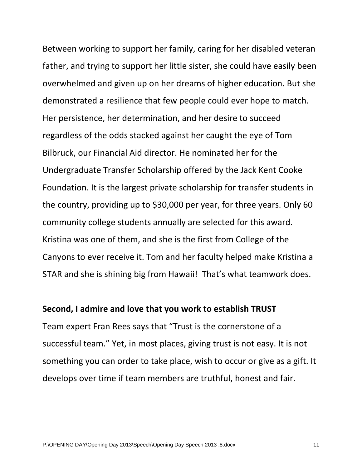Between working to support her family, caring for her disabled veteran father, and trying to support her little sister, she could have easily been overwhelmed and given up on her dreams of higher education. But she demonstrated a resilience that few people could ever hope to match. Her persistence, her determination, and her desire to succeed regardless of the odds stacked against her caught the eye of Tom Bilbruck, our Financial Aid director. He nominated her for the Undergraduate Transfer Scholarship offered by the Jack Kent Cooke Foundation. It is the largest private scholarship for transfer students in the country, providing up to \$30,000 per year, for three years. Only 60 community college students annually are selected for this award. Kristina was one of them, and she is the first from College of the Canyons to ever receive it. Tom and her faculty helped make Kristina a STAR and she is shining big from Hawaii! That's what teamwork does.

#### **Second, I admire and love that you work to establish TRUST**

Team expert Fran Rees says that "Trust is the cornerstone of a successful team." Yet, in most places, giving trust is not easy. It is not something you can order to take place, wish to occur or give as a gift. It develops over time if team members are truthful, honest and fair.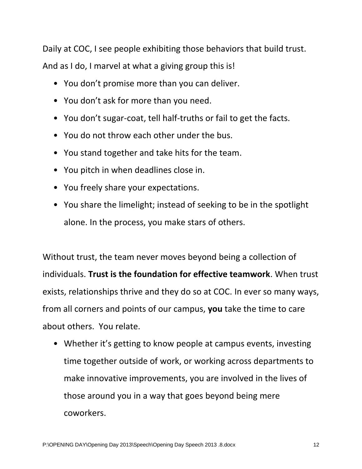Daily at COC, I see people exhibiting those behaviors that build trust. And as I do, I marvel at what a giving group this is!

- You don't promise more than you can deliver.
- You don't ask for more than you need.
- You don't sugar-coat, tell half-truths or fail to get the facts.
- You do not throw each other under the bus.
- You stand together and take hits for the team.
- You pitch in when deadlines close in.
- You freely share your expectations.
- You share the limelight; instead of seeking to be in the spotlight alone. In the process, you make stars of others.

Without trust, the team never moves beyond being a collection of individuals. **Trust is the foundation for effective teamwork**. When trust exists, relationships thrive and they do so at COC. In ever so many ways, from all corners and points of our campus, **you** take the time to care about others. You relate.

• Whether it's getting to know people at campus events, investing time together outside of work, or working across departments to make innovative improvements, you are involved in the lives of those around you in a way that goes beyond being mere coworkers.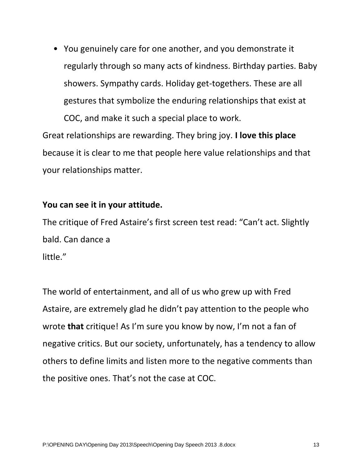• You genuinely care for one another, and you demonstrate it regularly through so many acts of kindness. Birthday parties. Baby showers. Sympathy cards. Holiday get-togethers. These are all gestures that symbolize the enduring relationships that exist at COC, and make it such a special place to work.

Great relationships are rewarding. They bring joy. **I love this place**  because it is clear to me that people here value relationships and that your relationships matter.

#### **You can see it in your attitude.**

The critique of Fred Astaire's first screen test read: "Can't act. Slightly bald. Can dance a little."

The world of entertainment, and all of us who grew up with Fred Astaire, are extremely glad he didn't pay attention to the people who wrote **that** critique! As I'm sure you know by now, I'm not a fan of negative critics. But our society, unfortunately, has a tendency to allow others to define limits and listen more to the negative comments than the positive ones. That's not the case at COC.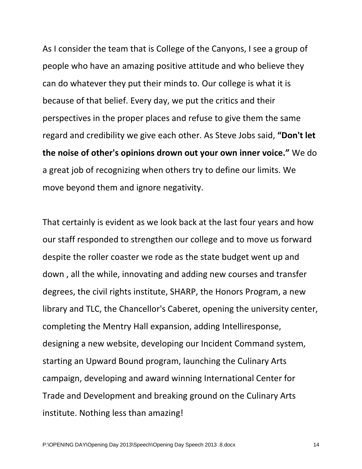As I consider the team that is College of the Canyons, I see a group of people who have an amazing positive attitude and who believe they can do whatever they put their minds to. Our college is what it is because of that belief. Every day, we put the critics and their perspectives in the proper places and refuse to give them the same regard and credibility we give each other. As Steve Jobs said, **"Don't let the noise of other's opinions drown out your own inner voice."** We do a great job of recognizing when others try to define our limits. We move beyond them and ignore negativity.

That certainly is evident as we look back at the last four years and how our staff responded to strengthen our college and to move us forward despite the roller coaster we rode as the state budget went up and down , all the while, innovating and adding new courses and transfer degrees, the civil rights institute, SHARP, the Honors Program, a new library and TLC, the Chancellor's Caberet, opening the university center, completing the Mentry Hall expansion, adding Intelliresponse, designing a new website, developing our Incident Command system, starting an Upward Bound program, launching the Culinary Arts campaign, developing and award winning International Center for Trade and Development and breaking ground on the Culinary Arts institute. Nothing less than amazing!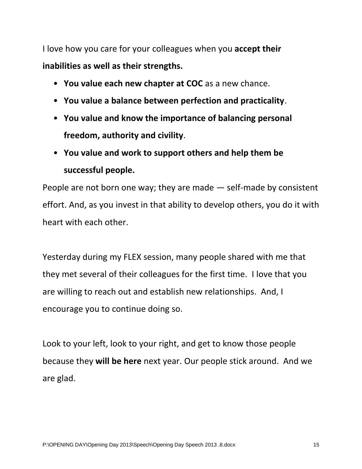I love how you care for your colleagues when you **accept their inabilities as well as their strengths.**

- **You value each new chapter at COC** as a new chance.
- **You value a balance between perfection and practicality**.
- **You value and know the importance of balancing personal freedom, authority and civility**.
- **You value and work to support others and help them be successful people.**

People are not born one way; they are made — self-made by consistent effort. And, as you invest in that ability to develop others, you do it with heart with each other.

Yesterday during my FLEX session, many people shared with me that they met several of their colleagues for the first time. I love that you are willing to reach out and establish new relationships. And, I encourage you to continue doing so.

Look to your left, look to your right, and get to know those people because they **will be here** next year. Our people stick around. And we are glad.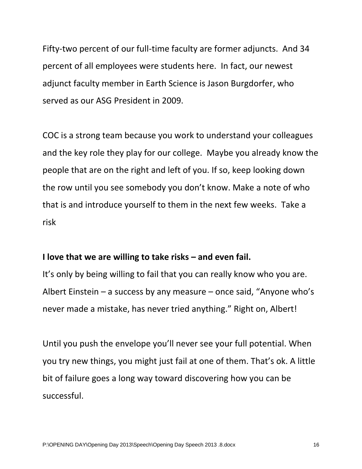Fifty-two percent of our full-time faculty are former adjuncts. And 34 percent of all employees were students here. In fact, our newest adjunct faculty member in Earth Science is Jason Burgdorfer, who served as our ASG President in 2009.

COC is a strong team because you work to understand your colleagues and the key role they play for our college. Maybe you already know the people that are on the right and left of you. If so, keep looking down the row until you see somebody you don't know. Make a note of who that is and introduce yourself to them in the next few weeks. Take a risk

#### **I love that we are willing to take risks – and even fail.**

It's only by being willing to fail that you can really know who you are. Albert Einstein – a success by any measure – once said, "Anyone who's never made a mistake, has never tried anything." Right on, Albert!

Until you push the envelope you'll never see your full potential. When you try new things, you might just fail at one of them. That's ok. A little bit of failure goes a long way toward discovering how you can be successful.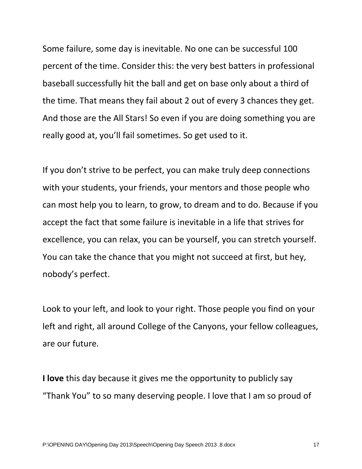Some failure, some day is inevitable. No one can be successful 100 percent of the time. Consider this: the very best batters in professional baseball successfully hit the ball and get on base only about a third of the time. That means they fail about 2 out of every 3 chances they get. And those are the All Stars! So even if you are doing something you are really good at, you'll fail sometimes. So get used to it.

If you don't strive to be perfect, you can make truly deep connections with your students, your friends, your mentors and those people who can most help you to learn, to grow, to dream and to do. Because if you accept the fact that some failure is inevitable in a life that strives for excellence, you can relax, you can be yourself, you can stretch yourself. You can take the chance that you might not succeed at first, but hey, nobody's perfect.

Look to your left, and look to your right. Those people you find on your left and right, all around College of the Canyons, your fellow colleagues, are our future.

**I love** this day because it gives me the opportunity to publicly say "Thank You" to so many deserving people. I love that I am so proud of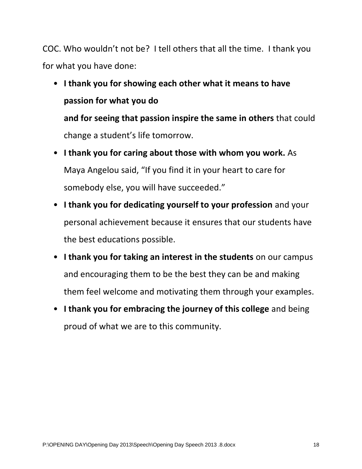COC. Who wouldn't not be? I tell others that all the time. I thank you for what you have done:

# • **I thank you for showing each other what it means to have passion for what you do and for seeing that passion inspire the same in others** that could change a student's life tomorrow.

- **I thank you for caring about those with whom you work.** As Maya Angelou said, "If you find it in your heart to care for somebody else, you will have succeeded."
- **I thank you for dedicating yourself to your profession** and your personal achievement because it ensures that our students have the best educations possible.
- **I thank you for taking an interest in the students** on our campus and encouraging them to be the best they can be and making them feel welcome and motivating them through your examples.
- **I thank you for embracing the journey of this college** and being proud of what we are to this community.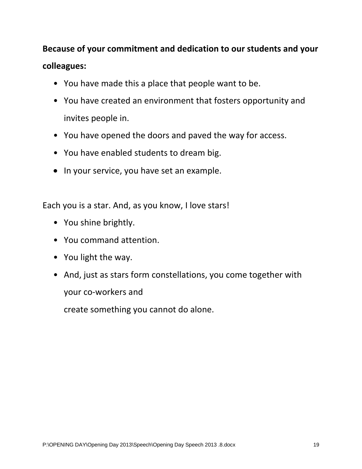## **Because of your commitment and dedication to our students and your colleagues:**

- You have made this a place that people want to be.
- You have created an environment that fosters opportunity and invites people in.
- You have opened the doors and paved the way for access.
- You have enabled students to dream big.
- In your service, you have set an example.

Each you is a star. And, as you know, I love stars!

- You shine brightly.
- You command attention.
- You light the way.
- And, just as stars form constellations, you come together with your co-workers and

create something you cannot do alone.